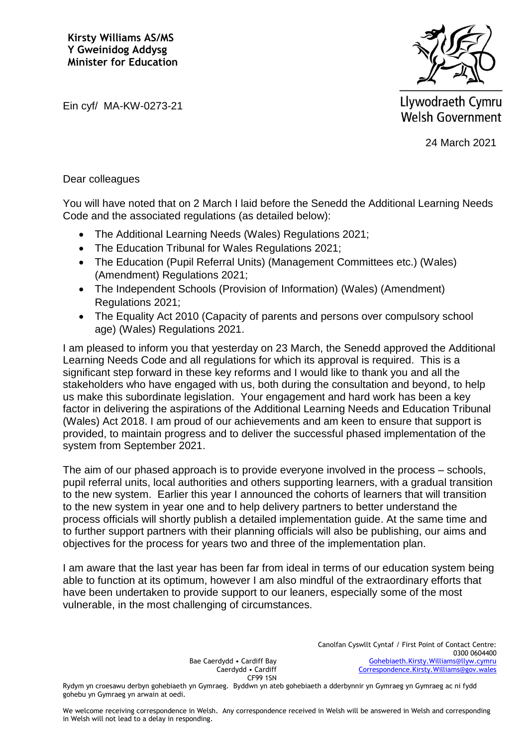**Kirsty Williams AS/MS Y Gweinidog Addysg Minister for Education**



Ein cyf/ MA-KW-0273-21

Llywodraeth Cymru **Welsh Government** 

24 March 2021

## Dear colleagues

You will have noted that on 2 March I laid before the Senedd the Additional Learning Needs Code and the associated regulations (as detailed below):

- The Additional Learning Needs (Wales) Regulations 2021;
- The Education Tribunal for Wales Regulations 2021;
- The Education (Pupil Referral Units) (Management Committees etc.) (Wales) (Amendment) Regulations 2021;
- The Independent Schools (Provision of Information) (Wales) (Amendment) Regulations 2021;
- The Equality Act 2010 (Capacity of parents and persons over compulsory school age) (Wales) Regulations 2021.

I am pleased to inform you that yesterday on 23 March, the Senedd approved the Additional Learning Needs Code and all regulations for which its approval is required. This is a significant step forward in these key reforms and I would like to thank you and all the stakeholders who have engaged with us, both during the consultation and beyond, to help us make this subordinate legislation. Your engagement and hard work has been a key factor in delivering the aspirations of the Additional Learning Needs and Education Tribunal (Wales) Act 2018. I am proud of our achievements and am keen to ensure that support is provided, to maintain progress and to deliver the successful phased implementation of the system from September 2021.

The aim of our phased approach is to provide everyone involved in the process – schools, pupil referral units, local authorities and others supporting learners, with a gradual transition to the new system. Earlier this year I announced the cohorts of learners that will transition to the new system in year one and to help delivery partners to better understand the process officials will shortly publish a detailed implementation guide. At the same time and to further support partners with their planning officials will also be publishing, our aims and objectives for the process for years two and three of the implementation plan.

I am aware that the last year has been far from ideal in terms of our education system being able to function at its optimum, however I am also mindful of the extraordinary efforts that have been undertaken to provide support to our leaners, especially some of the most vulnerable, in the most challenging of circumstances.

Bae Caerdydd • Cardiff Bay Caerdydd • Cardiff CF99 1SN

Rydym yn croesawu derbyn gohebiaeth yn Gymraeg. Byddwn yn ateb gohebiaeth a dderbynnir yn Gymraeg yn Gymraeg ac ni fydd gohebu yn Gymraeg yn arwain at oedi.